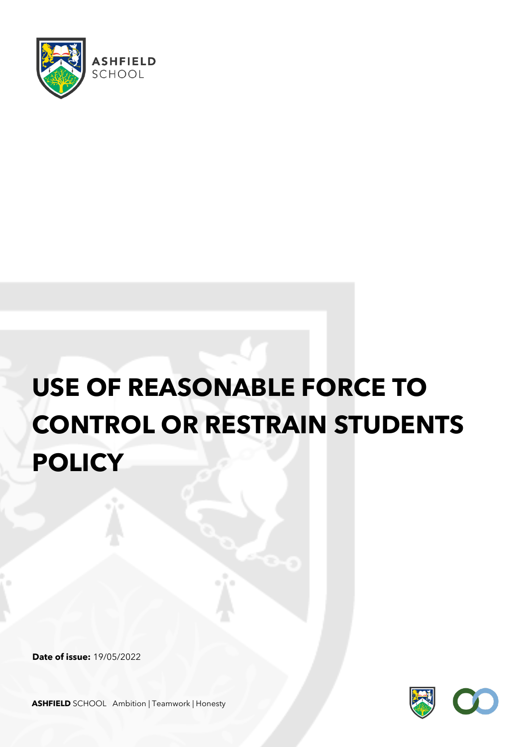

# **USE OF REASONABLE FORCE TO CONTROL OR RESTRAIN STUDENTS POLICY**

**Date of issue:** 19/05/2022



**ASHFIELD** SCHOOL Ambition | Teamwork | Honesty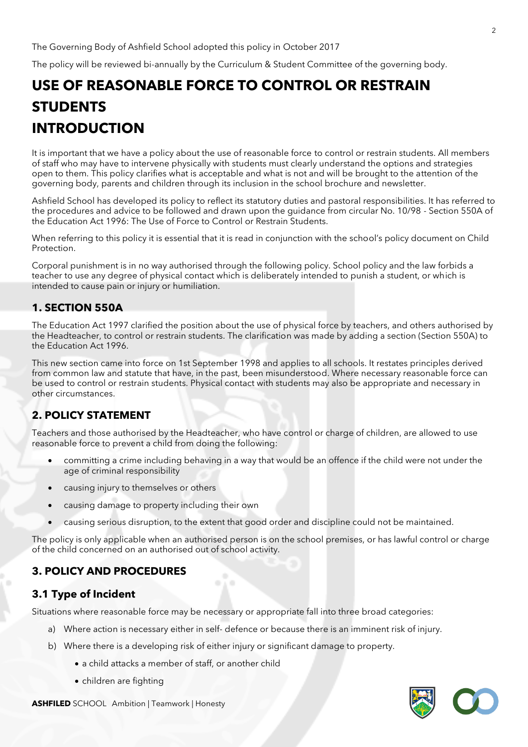The Governing Body of Ashfield School adopted this policy in October 2017

The policy will be reviewed bi-annually by the Curriculum & Student Committee of the governing body.

## **USE OF REASONABLE FORCE TO CONTROL OR RESTRAIN STUDENTS INTRODUCTION**

It is important that we have a policy about the use of reasonable force to control or restrain students. All members of staff who may have to intervene physically with students must clearly understand the options and strategies open to them. This policy clarifies what is acceptable and what is not and will be brought to the attention of the governing body, parents and children through its inclusion in the school brochure and newsletter.

Ashfield School has developed its policy to reflect its statutory duties and pastoral responsibilities. It has referred to the procedures and advice to be followed and drawn upon the guidance from circular No. 10/98 - Section 550A of the Education Act 1996: The Use of Force to Control or Restrain Students.

When referring to this policy it is essential that it is read in conjunction with the school's policy document on Child Protection.

Corporal punishment is in no way authorised through the following policy. School policy and the law forbids a teacher to use any degree of physical contact which is deliberately intended to punish a student, or which is intended to cause pain or injury or humiliation.

#### **1. SECTION 550A**

The Education Act 1997 clarified the position about the use of physical force by teachers, and others authorised by the Headteacher, to control or restrain students. The clarification was made by adding a section (Section 550A) to the Education Act 1996.

This new section came into force on 1st September 1998 and applies to all schools. It restates principles derived from common law and statute that have, in the past, been misunderstood. Where necessary reasonable force can be used to control or restrain students. Physical contact with students may also be appropriate and necessary in other circumstances.

#### **2. POLICY STATEMENT**

Teachers and those authorised by the Headteacher, who have control or charge of children, are allowed to use reasonable force to prevent a child from doing the following:

- committing a crime including behaving in a way that would be an offence if the child were not under the age of criminal responsibility
- causing injury to themselves or others
- causing damage to property including their own
- causing serious disruption, to the extent that good order and discipline could not be maintained.

The policy is only applicable when an authorised person is on the school premises, or has lawful control or charge of the child concerned on an authorised out of school activity.

#### **3. POLICY AND PROCEDURES**

#### **3.1 Type of Incident**

Situations where reasonable force may be necessary or appropriate fall into three broad categories:

- a) Where action is necessary either in self- defence or because there is an imminent risk of injury.
- b) Where there is a developing risk of either injury or significant damage to property.
	- a child attacks a member of staff, or another child
	- children are fighting

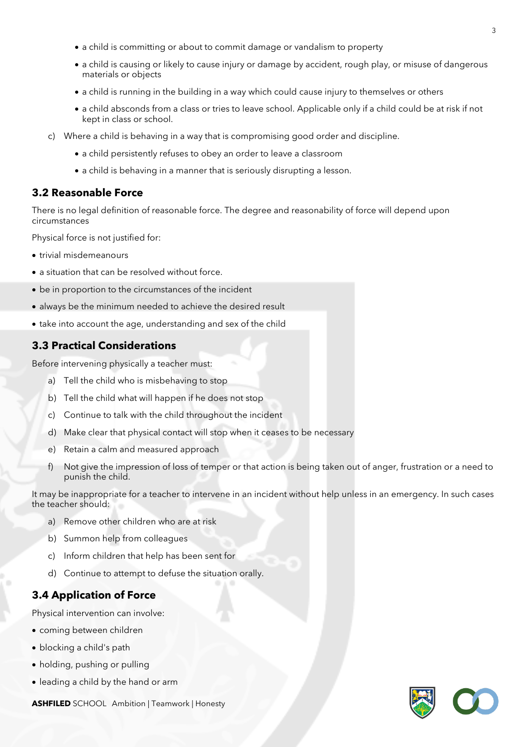- a child is committing or about to commit damage or vandalism to property
- a child is causing or likely to cause injury or damage by accident, rough play, or misuse of dangerous materials or objects
- a child is running in the building in a way which could cause injury to themselves or others
- a child absconds from a class or tries to leave school. Applicable only if a child could be at risk if not kept in class or school.
- c) Where a child is behaving in a way that is compromising good order and discipline.
	- a child persistently refuses to obey an order to leave a classroom
	- a child is behaving in a manner that is seriously disrupting a lesson.

#### **3.2 Reasonable Force**

There is no legal definition of reasonable force. The degree and reasonability of force will depend upon circumstances

Physical force is not justified for:

- trivial misdemeanours
- a situation that can be resolved without force.
- be in proportion to the circumstances of the incident
- always be the minimum needed to achieve the desired result
- take into account the age, understanding and sex of the child

#### **3.3 Practical Considerations**

Before intervening physically a teacher must:

- a) Tell the child who is misbehaving to stop
- b) Tell the child what will happen if he does not stop
- c) Continue to talk with the child throughout the incident
- d) Make clear that physical contact will stop when it ceases to be necessary
- e) Retain a calm and measured approach
- f) Not give the impression of loss of temper or that action is being taken out of anger, frustration or a need to punish the child.

It may be inappropriate for a teacher to intervene in an incident without help unless in an emergency. In such cases the teacher should:

- a) Remove other children who are at risk
- b) Summon help from colleagues
- c) Inform children that help has been sent for
- d) Continue to attempt to defuse the situation orally.

#### **3.4 Application of Force**

Physical intervention can involve:

- coming between children
- blocking a child's path
- holding, pushing or pulling
- leading a child by the hand or arm

**ASHFILED** SCHOOL Ambition | Teamwork | Honesty

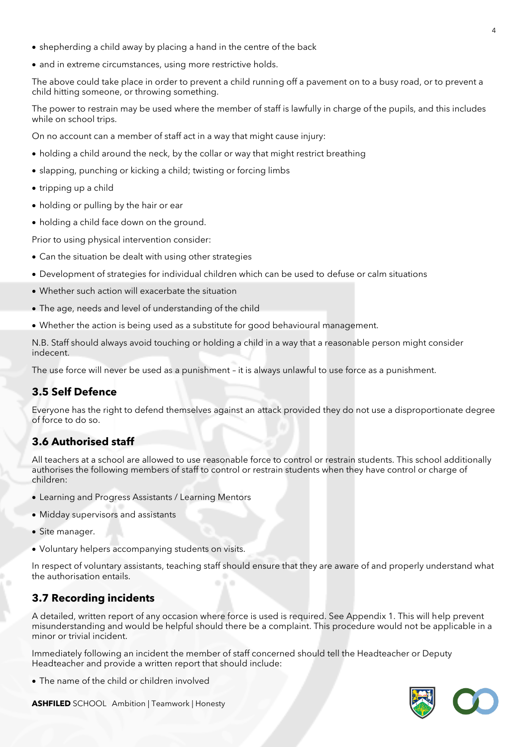- shepherding a child away by placing a hand in the centre of the back
- and in extreme circumstances, using more restrictive holds.

The above could take place in order to prevent a child running off a pavement on to a busy road, or to prevent a child hitting someone, or throwing something.

The power to restrain may be used where the member of staff is lawfully in charge of the pupils, and this includes while on school trips.

On no account can a member of staff act in a way that might cause injury:

- holding a child around the neck, by the collar or way that might restrict breathing
- slapping, punching or kicking a child; twisting or forcing limbs
- tripping up a child
- holding or pulling by the hair or ear
- holding a child face down on the ground.

Prior to using physical intervention consider:

- Can the situation be dealt with using other strategies
- Development of strategies for individual children which can be used to defuse or calm situations
- Whether such action will exacerbate the situation
- The age, needs and level of understanding of the child
- Whether the action is being used as a substitute for good behavioural management.

N.B. Staff should always avoid touching or holding a child in a way that a reasonable person might consider indecent.

The use force will never be used as a punishment – it is always unlawful to use force as a punishment.

#### **3.5 Self Defence**

Everyone has the right to defend themselves against an attack provided they do not use a disproportionate degree of force to do so.

#### **3.6 Authorised staff**

All teachers at a school are allowed to use reasonable force to control or restrain students. This school additionally authorises the following members of staff to control or restrain students when they have control or charge of children:

- Learning and Progress Assistants / Learning Mentors
- Midday supervisors and assistants
- Site manager.
- Voluntary helpers accompanying students on visits.

In respect of voluntary assistants, teaching staff should ensure that they are aware of and properly understand what the authorisation entails.

#### **3.7 Recording incidents**

A detailed, written report of any occasion where force is used is required. See Appendix 1. This will help prevent misunderstanding and would be helpful should there be a complaint. This procedure would not be applicable in a minor or trivial incident.

Immediately following an incident the member of staff concerned should tell the Headteacher or Deputy Headteacher and provide a written report that should include:

• The name of the child or children involved

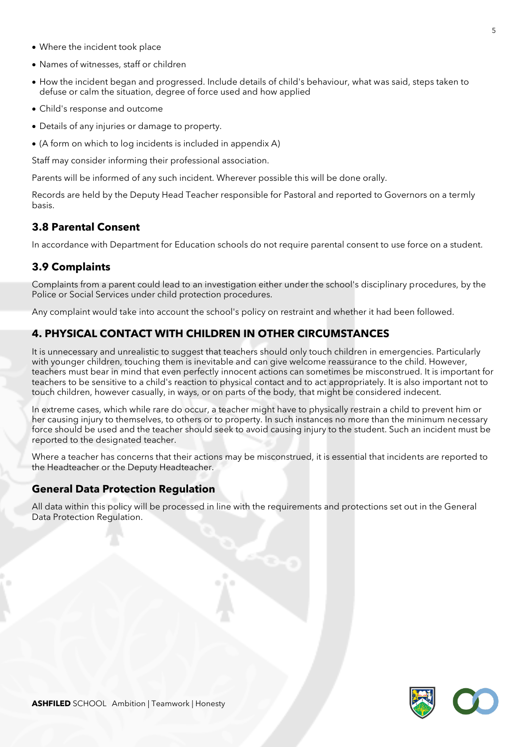- Where the incident took place
- Names of witnesses, staff or children
- How the incident began and progressed. Include details of child's behaviour, what was said, steps taken to defuse or calm the situation, degree of force used and how applied
- Child's response and outcome
- Details of any injuries or damage to property.
- (A form on which to log incidents is included in appendix A)

Staff may consider informing their professional association.

Parents will be informed of any such incident. Wherever possible this will be done orally.

Records are held by the Deputy Head Teacher responsible for Pastoral and reported to Governors on a termly basis.

#### **3.8 Parental Consent**

In accordance with Department for Education schools do not require parental consent to use force on a student.

#### **3.9 Complaints**

Complaints from a parent could lead to an investigation either under the school's disciplinary procedures, by the Police or Social Services under child protection procedures.

Any complaint would take into account the school's policy on restraint and whether it had been followed.

#### **4. PHYSICAL CONTACT WITH CHILDREN IN OTHER CIRCUMSTANCES**

It is unnecessary and unrealistic to suggest that teachers should only touch children in emergencies. Particularly with younger children, touching them is inevitable and can give welcome reassurance to the child. However, teachers must bear in mind that even perfectly innocent actions can sometimes be misconstrued. It is important for teachers to be sensitive to a child's reaction to physical contact and to act appropriately. It is also important not to touch children, however casually, in ways, or on parts of the body, that might be considered indecent.

In extreme cases, which while rare do occur, a teacher might have to physically restrain a child to prevent him or her causing injury to themselves, to others or to property. In such instances no more than the minimum necessary force should be used and the teacher should seek to avoid causing injury to the student. Such an incident must be reported to the designated teacher.

Where a teacher has concerns that their actions may be misconstrued, it is essential that incidents are reported to the Headteacher or the Deputy Headteacher.

#### **General Data Protection Regulation**

All data within this policy will be processed in line with the requirements and protections set out in the General Data Protection Regulation.